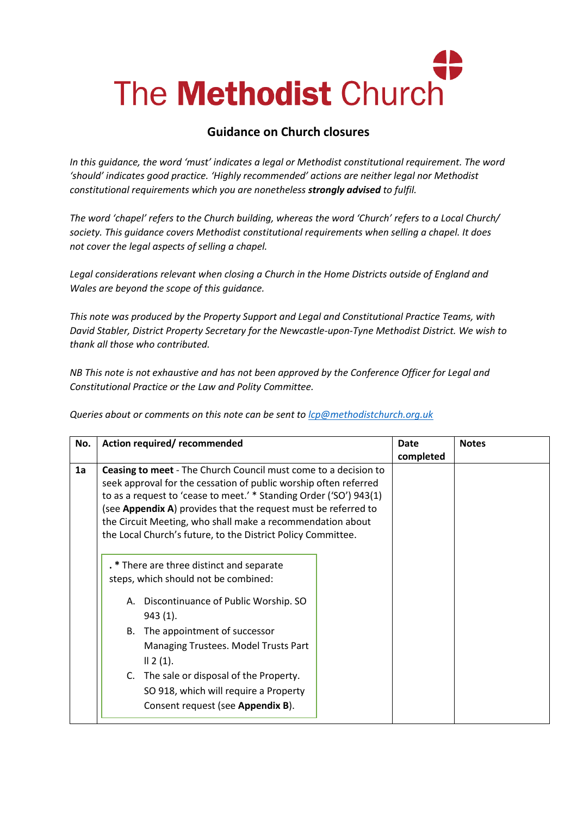# The **Methodist** Church

# **Guidance on Church closures**

*In this guidance, the word 'must' indicates a legal or Methodist constitutional requirement. The word 'should' indicates good practice. 'Highly recommended' actions are neither legal nor Methodist constitutional requirements which you are nonetheless strongly advised to fulfil.*

*The word 'chapel' refers to the Church building, whereas the word 'Church' refers to a Local Church/ society. This guidance covers Methodist constitutional requirements when selling a chapel. It does not cover the legal aspects of selling a chapel.* 

*Legal considerations relevant when closing a Church in the Home Districts outside of England and Wales are beyond the scope of this guidance.* 

*This note was produced by the Property Support and Legal and Constitutional Practice Teams, with David Stabler, District Property Secretary for the Newcastle-upon-Tyne Methodist District. We wish to thank all those who contributed.* 

*NB This note is not exhaustive and has not been approved by the Conference Officer for Legal and Constitutional Practice or the Law and Polity Committee.*

*Queries about or comments on this note can be sent to [lcp@methodistchurch.org.uk](mailto:lcp@methodistchurch.org.uk)*

| No. | Action required/recommended                                                                                                                                                                                                                                                                                                                                                                                                                                                                                                                                                                                                                                                                                                                                                     | <b>Date</b><br>completed | <b>Notes</b> |
|-----|---------------------------------------------------------------------------------------------------------------------------------------------------------------------------------------------------------------------------------------------------------------------------------------------------------------------------------------------------------------------------------------------------------------------------------------------------------------------------------------------------------------------------------------------------------------------------------------------------------------------------------------------------------------------------------------------------------------------------------------------------------------------------------|--------------------------|--------------|
| 1a  | <b>Ceasing to meet</b> - The Church Council must come to a decision to<br>seek approval for the cessation of public worship often referred<br>to as a request to 'cease to meet.' * Standing Order ('SO') 943(1)<br>(see Appendix A) provides that the request must be referred to<br>the Circuit Meeting, who shall make a recommendation about<br>the Local Church's future, to the District Policy Committee.<br>. * There are three distinct and separate<br>steps, which should not be combined:<br>A. Discontinuance of Public Worship. SO<br>$943(1)$ .<br>B. The appointment of successor<br>Managing Trustees. Model Trusts Part<br>   2(1).<br>C. The sale or disposal of the Property.<br>SO 918, which will require a Property<br>Consent request (see Appendix B). |                          |              |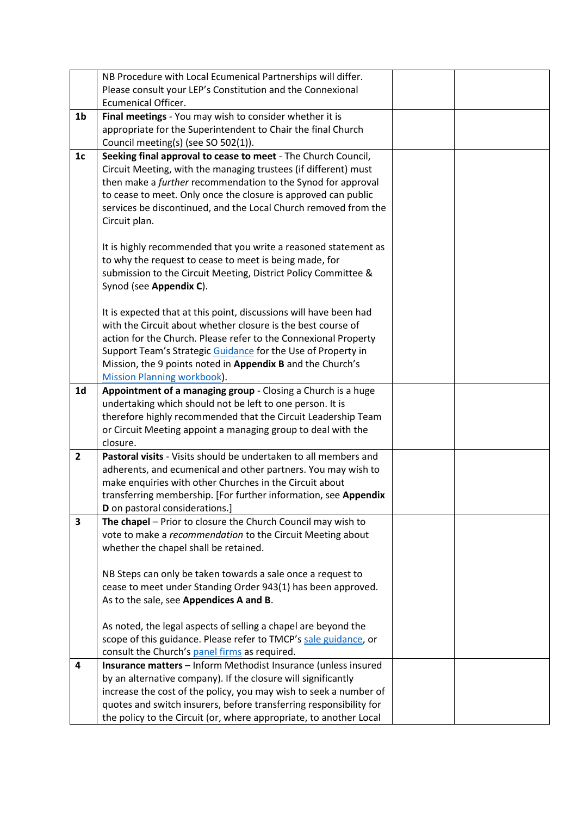|                         | NB Procedure with Local Ecumenical Partnerships will differ.                                                                    |  |
|-------------------------|---------------------------------------------------------------------------------------------------------------------------------|--|
|                         | Please consult your LEP's Constitution and the Connexional                                                                      |  |
|                         | <b>Ecumenical Officer.</b>                                                                                                      |  |
| 1 <sub>b</sub>          | Final meetings - You may wish to consider whether it is                                                                         |  |
|                         | appropriate for the Superintendent to Chair the final Church                                                                    |  |
|                         | Council meeting(s) (see SO 502(1)).                                                                                             |  |
| 1 <sub>c</sub>          | Seeking final approval to cease to meet - The Church Council,                                                                   |  |
|                         | Circuit Meeting, with the managing trustees (if different) must                                                                 |  |
|                         | then make a further recommendation to the Synod for approval                                                                    |  |
|                         | to cease to meet. Only once the closure is approved can public                                                                  |  |
|                         | services be discontinued, and the Local Church removed from the                                                                 |  |
|                         | Circuit plan.                                                                                                                   |  |
|                         |                                                                                                                                 |  |
|                         | It is highly recommended that you write a reasoned statement as                                                                 |  |
|                         | to why the request to cease to meet is being made, for                                                                          |  |
|                         | submission to the Circuit Meeting, District Policy Committee &<br>Synod (see Appendix C).                                       |  |
|                         |                                                                                                                                 |  |
|                         | It is expected that at this point, discussions will have been had                                                               |  |
|                         | with the Circuit about whether closure is the best course of                                                                    |  |
|                         | action for the Church. Please refer to the Connexional Property                                                                 |  |
|                         | Support Team's Strategic Guidance for the Use of Property in                                                                    |  |
|                         | Mission, the 9 points noted in Appendix B and the Church's                                                                      |  |
|                         | <b>Mission Planning workbook).</b>                                                                                              |  |
| 1 <sub>d</sub>          | Appointment of a managing group - Closing a Church is a huge                                                                    |  |
|                         | undertaking which should not be left to one person. It is                                                                       |  |
|                         | therefore highly recommended that the Circuit Leadership Team                                                                   |  |
|                         | or Circuit Meeting appoint a managing group to deal with the                                                                    |  |
|                         | closure.                                                                                                                        |  |
| $\mathbf{2}$            | Pastoral visits - Visits should be undertaken to all members and                                                                |  |
|                         | adherents, and ecumenical and other partners. You may wish to                                                                   |  |
|                         | make enquiries with other Churches in the Circuit about                                                                         |  |
|                         | transferring membership. [For further information, see Appendix<br>D on pastoral considerations.]                               |  |
| $\overline{\mathbf{3}}$ | The chapel - Prior to closure the Church Council may wish to                                                                    |  |
|                         | vote to make a recommendation to the Circuit Meeting about                                                                      |  |
|                         | whether the chapel shall be retained.                                                                                           |  |
|                         |                                                                                                                                 |  |
|                         | NB Steps can only be taken towards a sale once a request to                                                                     |  |
|                         | cease to meet under Standing Order 943(1) has been approved.                                                                    |  |
|                         | As to the sale, see Appendices A and B.                                                                                         |  |
|                         |                                                                                                                                 |  |
|                         | As noted, the legal aspects of selling a chapel are beyond the                                                                  |  |
|                         | scope of this guidance. Please refer to TMCP's sale guidance, or                                                                |  |
| 4                       | consult the Church's panel firms as required.                                                                                   |  |
|                         | Insurance matters - Inform Methodist Insurance (unless insured<br>by an alternative company). If the closure will significantly |  |
|                         | increase the cost of the policy, you may wish to seek a number of                                                               |  |
|                         |                                                                                                                                 |  |
|                         | quotes and switch insurers, before transferring responsibility for                                                              |  |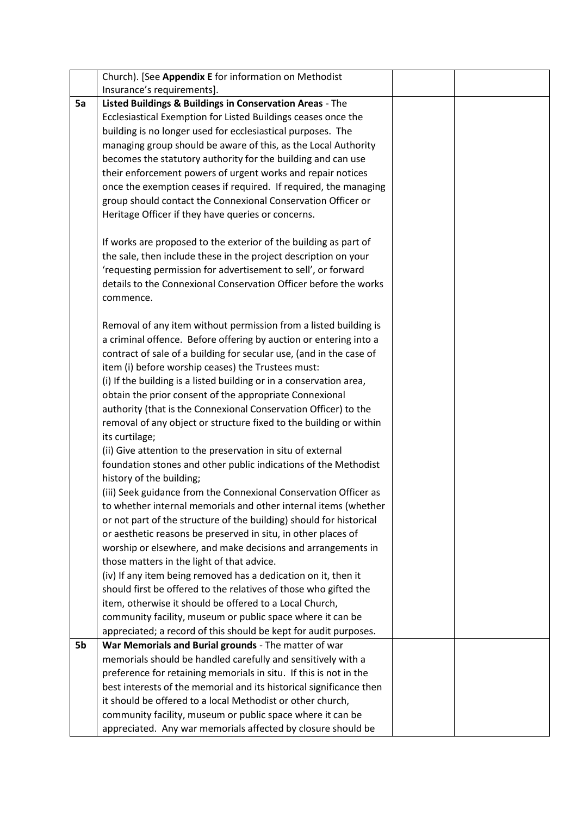|    | Church). [See Appendix E for information on Methodist                                                                |  |
|----|----------------------------------------------------------------------------------------------------------------------|--|
|    | Insurance's requirements].                                                                                           |  |
| 5a | Listed Buildings & Buildings in Conservation Areas - The                                                             |  |
|    | Ecclesiastical Exemption for Listed Buildings ceases once the                                                        |  |
|    | building is no longer used for ecclesiastical purposes. The                                                          |  |
|    | managing group should be aware of this, as the Local Authority                                                       |  |
|    | becomes the statutory authority for the building and can use                                                         |  |
|    | their enforcement powers of urgent works and repair notices                                                          |  |
|    | once the exemption ceases if required. If required, the managing                                                     |  |
|    | group should contact the Connexional Conservation Officer or                                                         |  |
|    | Heritage Officer if they have queries or concerns.                                                                   |  |
|    |                                                                                                                      |  |
|    | If works are proposed to the exterior of the building as part of                                                     |  |
|    | the sale, then include these in the project description on your                                                      |  |
|    | 'requesting permission for advertisement to sell', or forward                                                        |  |
|    | details to the Connexional Conservation Officer before the works                                                     |  |
|    | commence.                                                                                                            |  |
|    |                                                                                                                      |  |
|    | Removal of any item without permission from a listed building is                                                     |  |
|    | a criminal offence. Before offering by auction or entering into a                                                    |  |
|    | contract of sale of a building for secular use, (and in the case of                                                  |  |
|    | item (i) before worship ceases) the Trustees must:                                                                   |  |
|    | (i) If the building is a listed building or in a conservation area,                                                  |  |
|    | obtain the prior consent of the appropriate Connexional                                                              |  |
|    | authority (that is the Connexional Conservation Officer) to the                                                      |  |
|    | removal of any object or structure fixed to the building or within                                                   |  |
|    | its curtilage;                                                                                                       |  |
|    | (ii) Give attention to the preservation in situ of external                                                          |  |
|    | foundation stones and other public indications of the Methodist                                                      |  |
|    | history of the building;                                                                                             |  |
|    | (iii) Seek guidance from the Connexional Conservation Officer as                                                     |  |
|    | to whether internal memorials and other internal items (whether                                                      |  |
|    | or not part of the structure of the building) should for historical                                                  |  |
|    | or aesthetic reasons be preserved in situ, in other places of                                                        |  |
|    | worship or elsewhere, and make decisions and arrangements in                                                         |  |
|    | those matters in the light of that advice.                                                                           |  |
|    | (iv) If any item being removed has a dedication on it, then it                                                       |  |
|    | should first be offered to the relatives of those who gifted the                                                     |  |
|    | item, otherwise it should be offered to a Local Church,                                                              |  |
|    |                                                                                                                      |  |
|    | community facility, museum or public space where it can be                                                           |  |
| 5b | appreciated; a record of this should be kept for audit purposes.                                                     |  |
|    | War Memorials and Burial grounds - The matter of war<br>memorials should be handled carefully and sensitively with a |  |
|    |                                                                                                                      |  |
|    | preference for retaining memorials in situ. If this is not in the                                                    |  |
|    | best interests of the memorial and its historical significance then                                                  |  |
|    | it should be offered to a local Methodist or other church,                                                           |  |
|    | community facility, museum or public space where it can be                                                           |  |
|    | appreciated. Any war memorials affected by closure should be                                                         |  |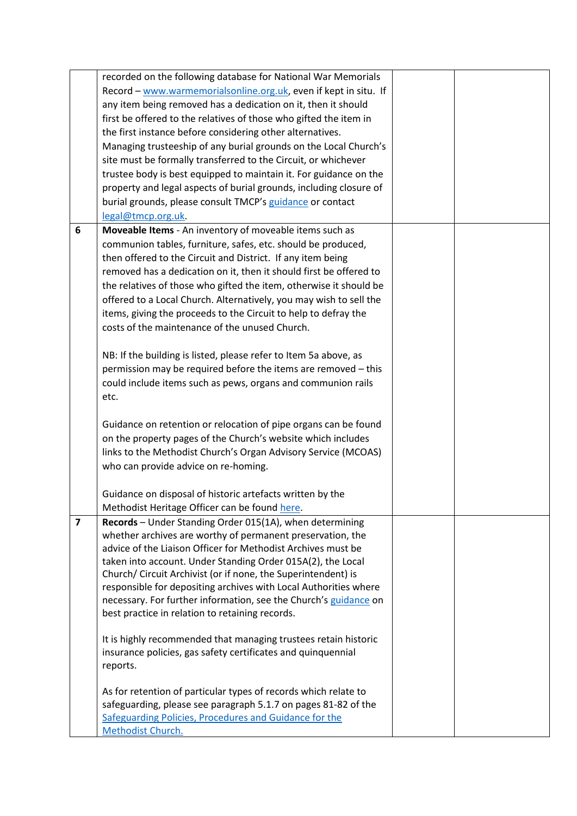|                         | recorded on the following database for National War Memorials                                                                |  |
|-------------------------|------------------------------------------------------------------------------------------------------------------------------|--|
|                         | Record - www.warmemorialsonline.org.uk, even if kept in situ. If                                                             |  |
|                         | any item being removed has a dedication on it, then it should                                                                |  |
|                         | first be offered to the relatives of those who gifted the item in                                                            |  |
|                         | the first instance before considering other alternatives.                                                                    |  |
|                         |                                                                                                                              |  |
|                         | Managing trusteeship of any burial grounds on the Local Church's                                                             |  |
|                         | site must be formally transferred to the Circuit, or whichever                                                               |  |
|                         | trustee body is best equipped to maintain it. For guidance on the                                                            |  |
|                         | property and legal aspects of burial grounds, including closure of                                                           |  |
|                         | burial grounds, please consult TMCP's guidance or contact                                                                    |  |
|                         | legal@tmcp.org.uk.                                                                                                           |  |
| 6                       | Moveable Items - An inventory of moveable items such as                                                                      |  |
|                         | communion tables, furniture, safes, etc. should be produced,                                                                 |  |
|                         | then offered to the Circuit and District. If any item being                                                                  |  |
|                         | removed has a dedication on it, then it should first be offered to                                                           |  |
|                         | the relatives of those who gifted the item, otherwise it should be                                                           |  |
|                         | offered to a Local Church. Alternatively, you may wish to sell the                                                           |  |
|                         | items, giving the proceeds to the Circuit to help to defray the                                                              |  |
|                         | costs of the maintenance of the unused Church.                                                                               |  |
|                         |                                                                                                                              |  |
|                         | NB: If the building is listed, please refer to Item 5a above, as                                                             |  |
|                         | permission may be required before the items are removed - this                                                               |  |
|                         |                                                                                                                              |  |
|                         | could include items such as pews, organs and communion rails                                                                 |  |
|                         | etc.                                                                                                                         |  |
|                         | Guidance on retention or relocation of pipe organs can be found                                                              |  |
|                         | on the property pages of the Church's website which includes                                                                 |  |
|                         |                                                                                                                              |  |
|                         | links to the Methodist Church's Organ Advisory Service (MCOAS)                                                               |  |
|                         | who can provide advice on re-homing.                                                                                         |  |
|                         | Guidance on disposal of historic artefacts written by the                                                                    |  |
|                         |                                                                                                                              |  |
|                         | Methodist Heritage Officer can be found here.                                                                                |  |
| $\overline{\mathbf{z}}$ | Records - Under Standing Order 015(1A), when determining                                                                     |  |
|                         | whether archives are worthy of permanent preservation, the<br>advice of the Liaison Officer for Methodist Archives must be   |  |
|                         |                                                                                                                              |  |
|                         | taken into account. Under Standing Order 015A(2), the Local<br>Church/ Circuit Archivist (or if none, the Superintendent) is |  |
|                         | responsible for depositing archives with Local Authorities where                                                             |  |
|                         | necessary. For further information, see the Church's guidance on                                                             |  |
|                         | best practice in relation to retaining records.                                                                              |  |
|                         |                                                                                                                              |  |
|                         | It is highly recommended that managing trustees retain historic                                                              |  |
|                         | insurance policies, gas safety certificates and quinquennial                                                                 |  |
|                         | reports.                                                                                                                     |  |
|                         |                                                                                                                              |  |
|                         | As for retention of particular types of records which relate to                                                              |  |
|                         | safeguarding, please see paragraph 5.1.7 on pages 81-82 of the                                                               |  |
|                         | Safeguarding Policies, Procedures and Guidance for the                                                                       |  |
|                         | Methodist Church.                                                                                                            |  |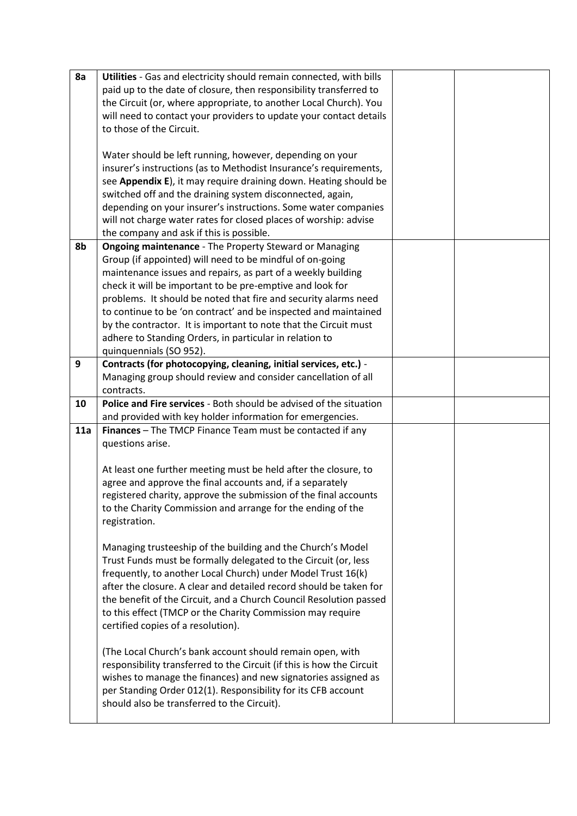| 8a  | Utilities - Gas and electricity should remain connected, with bills                                          |  |
|-----|--------------------------------------------------------------------------------------------------------------|--|
|     | paid up to the date of closure, then responsibility transferred to                                           |  |
|     | the Circuit (or, where appropriate, to another Local Church). You                                            |  |
|     | will need to contact your providers to update your contact details                                           |  |
|     | to those of the Circuit.                                                                                     |  |
|     |                                                                                                              |  |
|     | Water should be left running, however, depending on your                                                     |  |
|     | insurer's instructions (as to Methodist Insurance's requirements,                                            |  |
|     | see Appendix E), it may require draining down. Heating should be                                             |  |
|     | switched off and the draining system disconnected, again,                                                    |  |
|     | depending on your insurer's instructions. Some water companies                                               |  |
|     | will not charge water rates for closed places of worship: advise                                             |  |
|     | the company and ask if this is possible.                                                                     |  |
| 8b  | <b>Ongoing maintenance - The Property Steward or Managing</b>                                                |  |
|     | Group (if appointed) will need to be mindful of on-going                                                     |  |
|     | maintenance issues and repairs, as part of a weekly building                                                 |  |
|     | check it will be important to be pre-emptive and look for                                                    |  |
|     | problems. It should be noted that fire and security alarms need                                              |  |
|     | to continue to be 'on contract' and be inspected and maintained                                              |  |
|     | by the contractor. It is important to note that the Circuit must                                             |  |
|     | adhere to Standing Orders, in particular in relation to                                                      |  |
|     | quinquennials (SO 952).                                                                                      |  |
| 9   | Contracts (for photocopying, cleaning, initial services, etc.) -                                             |  |
|     | Managing group should review and consider cancellation of all                                                |  |
|     | contracts.                                                                                                   |  |
| 10  | Police and Fire services - Both should be advised of the situation                                           |  |
|     |                                                                                                              |  |
|     |                                                                                                              |  |
|     | and provided with key holder information for emergencies.                                                    |  |
| 11a | Finances - The TMCP Finance Team must be contacted if any                                                    |  |
|     | questions arise.                                                                                             |  |
|     |                                                                                                              |  |
|     | At least one further meeting must be held after the closure, to                                              |  |
|     | agree and approve the final accounts and, if a separately                                                    |  |
|     | registered charity, approve the submission of the final accounts                                             |  |
|     | to the Charity Commission and arrange for the ending of the                                                  |  |
|     | registration.                                                                                                |  |
|     |                                                                                                              |  |
|     | Managing trusteeship of the building and the Church's Model                                                  |  |
|     | Trust Funds must be formally delegated to the Circuit (or, less                                              |  |
|     | frequently, to another Local Church) under Model Trust 16(k)                                                 |  |
|     | after the closure. A clear and detailed record should be taken for                                           |  |
|     | the benefit of the Circuit, and a Church Council Resolution passed                                           |  |
|     | to this effect (TMCP or the Charity Commission may require                                                   |  |
|     | certified copies of a resolution).                                                                           |  |
|     |                                                                                                              |  |
|     | (The Local Church's bank account should remain open, with                                                    |  |
|     | responsibility transferred to the Circuit (if this is how the Circuit                                        |  |
|     | wishes to manage the finances) and new signatories assigned as                                               |  |
|     | per Standing Order 012(1). Responsibility for its CFB account<br>should also be transferred to the Circuit). |  |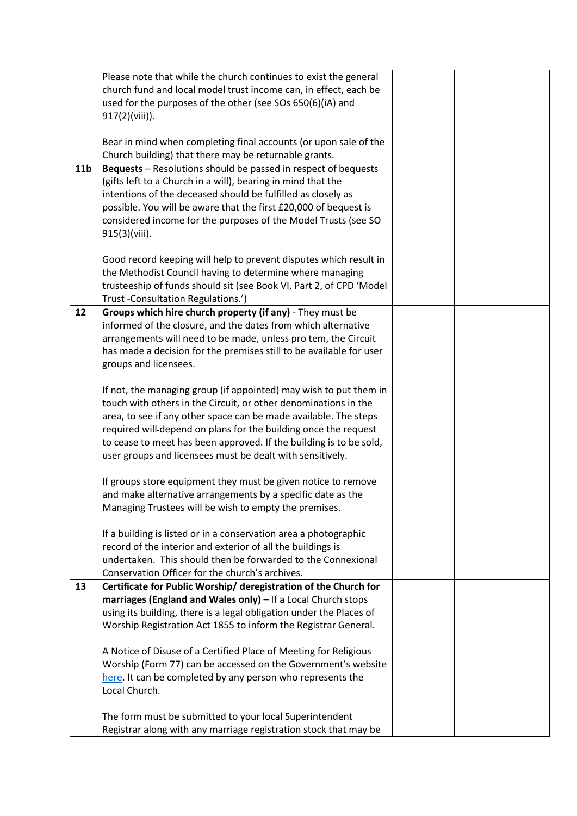|                 | Please note that while the church continues to exist the general                                 |  |
|-----------------|--------------------------------------------------------------------------------------------------|--|
|                 | church fund and local model trust income can, in effect, each be                                 |  |
|                 | used for the purposes of the other (see SOs 650(6)(iA) and                                       |  |
|                 | 917(2)(viii)).                                                                                   |  |
|                 |                                                                                                  |  |
|                 | Bear in mind when completing final accounts (or upon sale of the                                 |  |
|                 | Church building) that there may be returnable grants.                                            |  |
| 11 <sub>b</sub> | <b>Bequests</b> – Resolutions should be passed in respect of bequests                            |  |
|                 | (gifts left to a Church in a will), bearing in mind that the                                     |  |
|                 | intentions of the deceased should be fulfilled as closely as                                     |  |
|                 | possible. You will be aware that the first £20,000 of bequest is                                 |  |
|                 | considered income for the purposes of the Model Trusts (see SO                                   |  |
|                 | 915(3)(viii).                                                                                    |  |
|                 |                                                                                                  |  |
|                 | Good record keeping will help to prevent disputes which result in                                |  |
|                 | the Methodist Council having to determine where managing                                         |  |
|                 | trusteeship of funds should sit (see Book VI, Part 2, of CPD 'Model                              |  |
| 12              | Trust - Consultation Regulations.')<br>Groups which hire church property (if any) - They must be |  |
|                 | informed of the closure, and the dates from which alternative                                    |  |
|                 | arrangements will need to be made, unless pro tem, the Circuit                                   |  |
|                 |                                                                                                  |  |
|                 | has made a decision for the premises still to be available for user                              |  |
|                 | groups and licensees.                                                                            |  |
|                 | If not, the managing group (if appointed) may wish to put them in                                |  |
|                 | touch with others in the Circuit, or other denominations in the                                  |  |
|                 | area, to see if any other space can be made available. The steps                                 |  |
|                 | required will-depend on plans for the building once the request                                  |  |
|                 | to cease to meet has been approved. If the building is to be sold,                               |  |
|                 | user groups and licensees must be dealt with sensitively.                                        |  |
|                 |                                                                                                  |  |
|                 | If groups store equipment they must be given notice to remove                                    |  |
|                 | and make alternative arrangements by a specific date as the                                      |  |
|                 | Managing Trustees will be wish to empty the premises.                                            |  |
|                 |                                                                                                  |  |
|                 | If a building is listed or in a conservation area a photographic                                 |  |
|                 | record of the interior and exterior of all the buildings is                                      |  |
|                 | undertaken. This should then be forwarded to the Connexional                                     |  |
|                 | Conservation Officer for the church's archives.                                                  |  |
| 13              | Certificate for Public Worship/ deregistration of the Church for                                 |  |
|                 | marriages (England and Wales only) - If a Local Church stops                                     |  |
|                 | using its building, there is a legal obligation under the Places of                              |  |
|                 | Worship Registration Act 1855 to inform the Registrar General.                                   |  |
|                 | A Notice of Disuse of a Certified Place of Meeting for Religious                                 |  |
|                 | Worship (Form 77) can be accessed on the Government's website                                    |  |
|                 | here. It can be completed by any person who represents the                                       |  |
|                 | Local Church.                                                                                    |  |
|                 |                                                                                                  |  |
|                 | The form must be submitted to your local Superintendent                                          |  |
|                 | Registrar along with any marriage registration stock that may be                                 |  |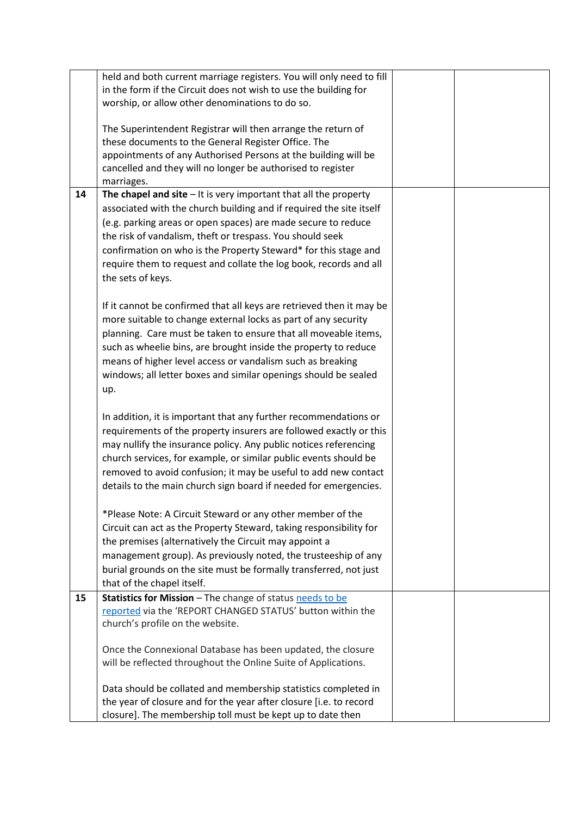|    | held and both current marriage registers. You will only need to fill |  |
|----|----------------------------------------------------------------------|--|
|    | in the form if the Circuit does not wish to use the building for     |  |
|    | worship, or allow other denominations to do so.                      |  |
|    |                                                                      |  |
|    | The Superintendent Registrar will then arrange the return of         |  |
|    | these documents to the General Register Office. The                  |  |
|    | appointments of any Authorised Persons at the building will be       |  |
|    | cancelled and they will no longer be authorised to register          |  |
|    | marriages.                                                           |  |
| 14 | The chapel and site $-$ It is very important that all the property   |  |
|    | associated with the church building and if required the site itself  |  |
|    | (e.g. parking areas or open spaces) are made secure to reduce        |  |
|    | the risk of vandalism, theft or trespass. You should seek            |  |
|    | confirmation on who is the Property Steward* for this stage and      |  |
|    | require them to request and collate the log book, records and all    |  |
|    | the sets of keys.                                                    |  |
|    |                                                                      |  |
|    |                                                                      |  |
|    | If it cannot be confirmed that all keys are retrieved then it may be |  |
|    | more suitable to change external locks as part of any security       |  |
|    | planning. Care must be taken to ensure that all moveable items,      |  |
|    | such as wheelie bins, are brought inside the property to reduce      |  |
|    | means of higher level access or vandalism such as breaking           |  |
|    | windows; all letter boxes and similar openings should be sealed      |  |
|    | up.                                                                  |  |
|    |                                                                      |  |
|    | In addition, it is important that any further recommendations or     |  |
|    | requirements of the property insurers are followed exactly or this   |  |
|    | may nullify the insurance policy. Any public notices referencing     |  |
|    | church services, for example, or similar public events should be     |  |
|    | removed to avoid confusion; it may be useful to add new contact      |  |
|    | details to the main church sign board if needed for emergencies.     |  |
|    |                                                                      |  |
|    | *Please Note: A Circuit Steward or any other member of the           |  |
|    | Circuit can act as the Property Steward, taking responsibility for   |  |
|    | the premises (alternatively the Circuit may appoint a                |  |
|    | management group). As previously noted, the trusteeship of any       |  |
|    | burial grounds on the site must be formally transferred, not just    |  |
|    | that of the chapel itself.                                           |  |
| 15 | Statistics for Mission - The change of status needs to be            |  |
|    | reported via the 'REPORT CHANGED STATUS' button within the           |  |
|    | church's profile on the website.                                     |  |
|    | Once the Connexional Database has been updated, the closure          |  |
|    | will be reflected throughout the Online Suite of Applications.       |  |
|    |                                                                      |  |
|    | Data should be collated and membership statistics completed in       |  |
|    | the year of closure and for the year after closure [i.e. to record   |  |
|    | closure]. The membership toll must be kept up to date then           |  |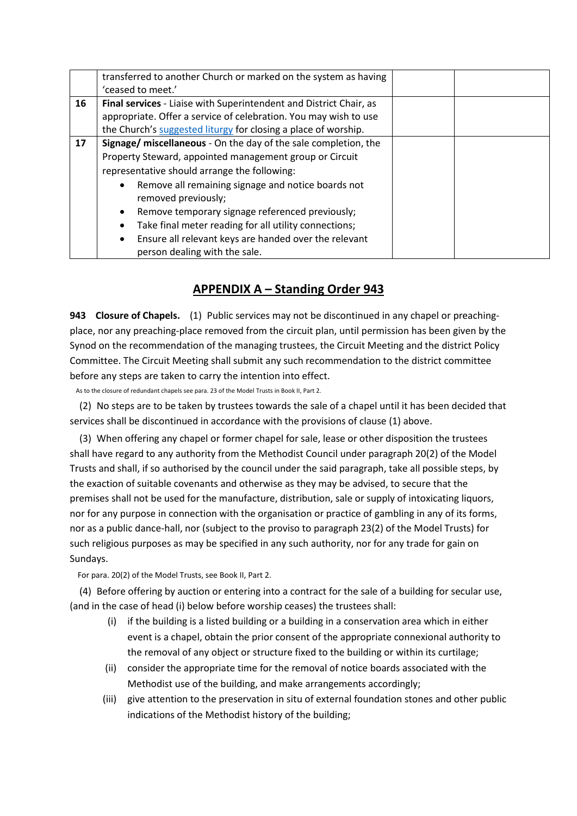|    | transferred to another Church or marked on the system as having                                     |  |  |  |
|----|-----------------------------------------------------------------------------------------------------|--|--|--|
|    | 'ceased to meet.'                                                                                   |  |  |  |
| 16 | Final services - Liaise with Superintendent and District Chair, as                                  |  |  |  |
|    | appropriate. Offer a service of celebration. You may wish to use                                    |  |  |  |
|    | the Church's suggested liturgy for closing a place of worship.                                      |  |  |  |
| 17 | Signage/ miscellaneous - On the day of the sale completion, the                                     |  |  |  |
|    | Property Steward, appointed management group or Circuit                                             |  |  |  |
|    | representative should arrange the following:                                                        |  |  |  |
|    | Remove all remaining signage and notice boards not<br>$\bullet$                                     |  |  |  |
|    | removed previously;                                                                                 |  |  |  |
|    | Remove temporary signage referenced previously;<br>٠                                                |  |  |  |
|    | Take final meter reading for all utility connections;<br>٠                                          |  |  |  |
|    | Ensure all relevant keys are handed over the relevant<br>$\bullet$<br>person dealing with the sale. |  |  |  |

## **APPENDIX A – Standing Order 943**

**943 Closure of Chapels.** (1) Public services may not be discontinued in any chapel or preachingplace, nor any preaching-place removed from the circuit plan, until permission has been given by the Synod on the recommendation of the managing trustees, the Circuit Meeting and the district Policy Committee. The Circuit Meeting shall submit any such recommendation to the district committee before any steps are taken to carry the intention into effect.

As to the closure of redundant chapels see para. 23 of the Model Trusts in Book II, Part 2.

(2) No steps are to be taken by trustees towards the sale of a chapel until it has been decided that services shall be discontinued in accordance with the provisions of clause (1) above.

(3) When offering any chapel or former chapel for sale, lease or other disposition the trustees shall have regard to any authority from the Methodist Council under paragraph 20(2) of the Model Trusts and shall, if so authorised by the council under the said paragraph, take all possible steps, by the exaction of suitable covenants and otherwise as they may be advised, to secure that the premises shall not be used for the manufacture, distribution, sale or supply of intoxicating liquors, nor for any purpose in connection with the organisation or practice of gambling in any of its forms, nor as a public dance-hall, nor (subject to the proviso to paragraph 23(2) of the Model Trusts) for such religious purposes as may be specified in any such authority, nor for any trade for gain on Sundays.

For para. 20(2) of the Model Trusts, see Book II, Part 2.

(4) Before offering by auction or entering into a contract for the sale of a building for secular use, (and in the case of head (i) below before worship ceases) the trustees shall:

- (i) if the building is a listed building or a building in a conservation area which in either event is a chapel, obtain the prior consent of the appropriate connexional authority to the removal of any object or structure fixed to the building or within its curtilage;
- (ii) consider the appropriate time for the removal of notice boards associated with the Methodist use of the building, and make arrangements accordingly;
- (iii) give attention to the preservation in situ of external foundation stones and other public indications of the Methodist history of the building;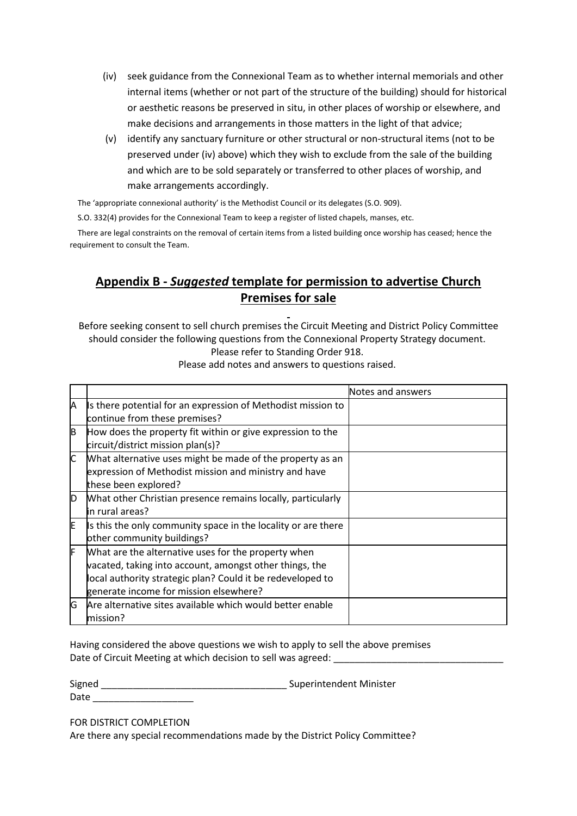- (iv) seek guidance from the Connexional Team as to whether internal memorials and other internal items (whether or not part of the structure of the building) should for historical or aesthetic reasons be preserved in situ, in other places of worship or elsewhere, and make decisions and arrangements in those matters in the light of that advice;
- (v) identify any sanctuary furniture or other structural or non-structural items (not to be preserved under (iv) above) which they wish to exclude from the sale of the building and which are to be sold separately or transferred to other places of worship, and make arrangements accordingly.

The 'appropriate connexional authority' is the Methodist Council or its delegates (S.O. 909).

S.O. 332(4) provides for the Connexional Team to keep a register of listed chapels, manses, etc.

There are legal constraints on the removal of certain items from a listed building once worship has ceased; hence the requirement to consult the Team.

# **Appendix B -** *Suggested* **template for permission to advertise Church Premises for sale**

Before seeking consent to sell church premises the Circuit Meeting and District Policy Committee should consider the following questions from the Connexional Property Strategy document. Please refer to Standing Order 918.

|     |                                                               | Notes and answers |
|-----|---------------------------------------------------------------|-------------------|
| Λ   | Is there potential for an expression of Methodist mission to  |                   |
|     | continue from these premises?                                 |                   |
| B   | How does the property fit within or give expression to the    |                   |
|     | circuit/district mission plan(s)?                             |                   |
| IC. | What alternative uses might be made of the property as an     |                   |
|     | expression of Methodist mission and ministry and have         |                   |
|     | these been explored?                                          |                   |
| D   | What other Christian presence remains locally, particularly   |                   |
|     | lin rural areas?                                              |                   |
| E   | Is this the only community space in the locality or are there |                   |
|     | other community buildings?                                    |                   |
| F   | What are the alternative uses for the property when           |                   |
|     | vacated, taking into account, amongst other things, the       |                   |
|     | local authority strategic plan? Could it be redeveloped to    |                   |
|     | generate income for mission elsewhere?                        |                   |
| G   | Are alternative sites available which would better enable     |                   |
|     | lmission?                                                     |                   |

Please add notes and answers to questions raised.

Having considered the above questions we wish to apply to sell the above premises Date of Circuit Meeting at which decision to sell was agreed:

Signed Signed Superintendent Minister

FOR DISTRICT COMPLETION

Date \_\_\_\_\_\_\_\_\_\_\_\_\_\_\_\_\_\_\_

Are there any special recommendations made by the District Policy Committee?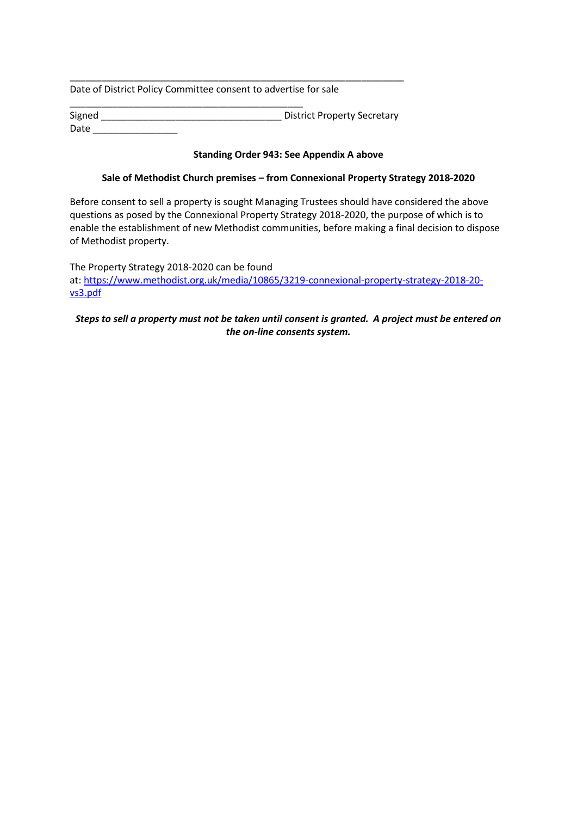Date of District Policy Committee consent to advertise for sale

\_\_\_\_\_\_\_\_\_\_\_\_\_\_\_\_\_\_\_\_\_\_\_\_\_\_\_\_\_\_\_\_\_\_\_\_\_\_\_\_\_\_\_\_ Signed Signed **Support Contact Secretary** District Property Secretary Date \_\_\_\_\_\_\_\_\_\_\_\_\_\_\_\_

\_\_\_\_\_\_\_\_\_\_\_\_\_\_\_\_\_\_\_\_\_\_\_\_\_\_\_\_\_\_\_\_\_\_\_\_\_\_\_\_\_\_\_\_\_\_\_\_\_\_\_\_\_\_\_\_\_\_\_\_\_\_\_

### **Standing Order 943: See Appendix A above**

### **Sale of Methodist Church premises – from Connexional Property Strategy 2018-2020**

Before consent to sell a property is sought Managing Trustees should have considered the above questions as posed by the Connexional Property Strategy 2018-2020, the purpose of which is to enable the establishment of new Methodist communities, before making a final decision to dispose of Methodist property.

The Property Strategy 2018-2020 can be found at: [https://www.methodist.org.uk/media/10865/3219-connexional-property-strategy-2018-20](https://www.methodist.org.uk/media/10865/3219-connexional-property-strategy-2018-20-vs3.pdf) [vs3.pdf](https://www.methodist.org.uk/media/10865/3219-connexional-property-strategy-2018-20-vs3.pdf)

### *Steps to sell a property must not be taken until consent is granted. A project must be entered on the on-line consents system.*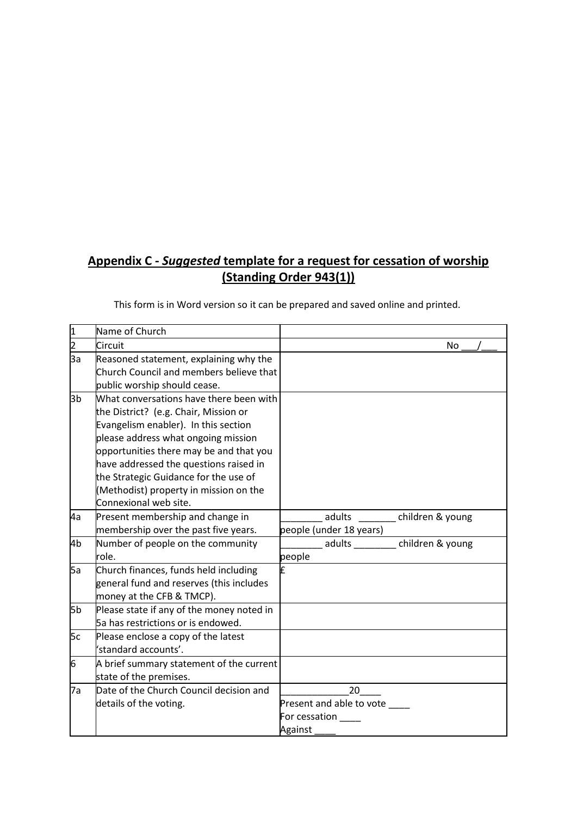# **Appendix C -** *Suggested* **template for a request for cessation of worship (Standing Order 943(1))**

| This form is in Word version so it can be prepared and saved online and printed. |  |  |  |  |  |
|----------------------------------------------------------------------------------|--|--|--|--|--|
|----------------------------------------------------------------------------------|--|--|--|--|--|

| 1              | Name of Church                                                                                                                                                                                                                                                                                                                                                   |                                                            |
|----------------|------------------------------------------------------------------------------------------------------------------------------------------------------------------------------------------------------------------------------------------------------------------------------------------------------------------------------------------------------------------|------------------------------------------------------------|
| $\overline{2}$ | Circuit                                                                                                                                                                                                                                                                                                                                                          | No.                                                        |
| 3a             | Reasoned statement, explaining why the<br>Church Council and members believe that<br>public worship should cease.                                                                                                                                                                                                                                                |                                                            |
| 3b             | What conversations have there been with<br>the District? (e.g. Chair, Mission or<br>Evangelism enabler). In this section<br>please address what ongoing mission<br>opportunities there may be and that you<br>have addressed the questions raised in<br>the Strategic Guidance for the use of<br>(Methodist) property in mission on the<br>Connexional web site. |                                                            |
| 4a             | Present membership and change in<br>membership over the past five years.                                                                                                                                                                                                                                                                                         | adults<br>children & young<br>people (under 18 years)      |
| 4b             | Number of people on the community<br>role.                                                                                                                                                                                                                                                                                                                       | adults _________ children & young<br>people                |
| <b>Ба</b>      | Church finances, funds held including<br>general fund and reserves (this includes<br>money at the CFB & TMCP).                                                                                                                                                                                                                                                   | Ŀ                                                          |
| 5b             | Please state if any of the money noted in<br>5a has restrictions or is endowed.                                                                                                                                                                                                                                                                                  |                                                            |
| 5c             | Please enclose a copy of the latest<br>'standard accounts'.                                                                                                                                                                                                                                                                                                      |                                                            |
| 6              | A brief summary statement of the current<br>state of the premises.                                                                                                                                                                                                                                                                                               |                                                            |
| 7a             | Date of the Church Council decision and<br>details of the voting.                                                                                                                                                                                                                                                                                                | 20<br>Present and able to vote<br>For cessation<br>Against |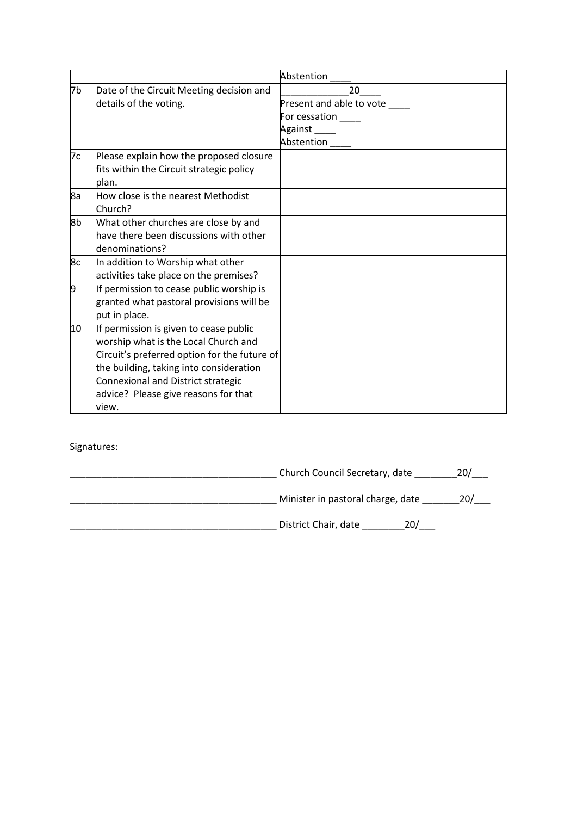|    |                                              | Abstention               |
|----|----------------------------------------------|--------------------------|
| 7b | Date of the Circuit Meeting decision and     | 20                       |
|    | details of the voting.                       | Present and able to vote |
|    |                                              | For cessation            |
|    |                                              | Against                  |
|    |                                              | Abstention               |
| 7c | Please explain how the proposed closure      |                          |
|    | fits within the Circuit strategic policy     |                          |
|    | blan.                                        |                          |
| 8a | How close is the nearest Methodist           |                          |
|    | Church?                                      |                          |
| 8b | What other churches are close by and         |                          |
|    | have there been discussions with other       |                          |
|    | denominations?                               |                          |
| 8c | In addition to Worship what other            |                          |
|    | activities take place on the premises?       |                          |
| 9  | If permission to cease public worship is     |                          |
|    | granted what pastoral provisions will be     |                          |
|    | put in place.                                |                          |
| 10 | If permission is given to cease public       |                          |
|    | worship what is the Local Church and         |                          |
|    | Circuit's preferred option for the future of |                          |
|    | the building, taking into consideration      |                          |
|    | Connexional and District strategic           |                          |
|    | advice? Please give reasons for that         |                          |
|    | view.                                        |                          |

Signatures:

| Church Council Secretary, date    |     |
|-----------------------------------|-----|
| Minister in pastoral charge, date | 20/ |
| District Chair, date<br>וח?       |     |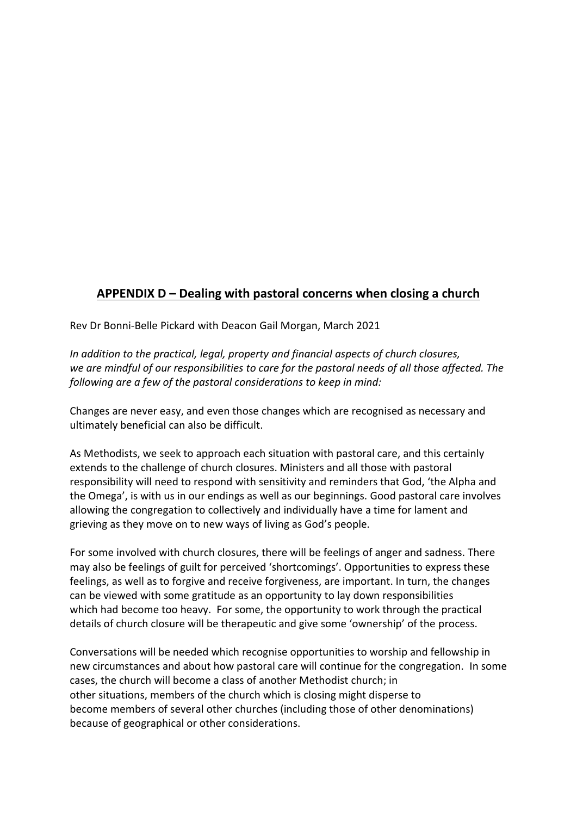# **APPENDIX D – Dealing with pastoral concerns when closing a church**

Rev Dr Bonni-Belle Pickard with Deacon Gail Morgan, March 2021

*In addition to the practical, legal, property and financial aspects of church closures, we are mindful of our responsibilities to care for the pastoral needs of all those affected. The following are a few of the pastoral considerations to keep in mind:*

Changes are never easy, and even those changes which are recognised as necessary and ultimately beneficial can also be difficult.

As Methodists, we seek to approach each situation with pastoral care, and this certainly extends to the challenge of church closures. Ministers and all those with pastoral responsibility will need to respond with sensitivity and reminders that God, 'the Alpha and the Omega', is with us in our endings as well as our beginnings. Good pastoral care involves allowing the congregation to collectively and individually have a time for lament and grieving as they move on to new ways of living as God's people.

For some involved with church closures, there will be feelings of anger and sadness. There may also be feelings of guilt for perceived 'shortcomings'. Opportunities to express these feelings, as well as to forgive and receive forgiveness, are important. In turn, the changes can be viewed with some gratitude as an opportunity to lay down responsibilities which had become too heavy. For some, the opportunity to work through the practical details of church closure will be therapeutic and give some 'ownership' of the process.

Conversations will be needed which recognise opportunities to worship and fellowship in new circumstances and about how pastoral care will continue for the congregation. In some cases, the church will become a class of another Methodist church; in other situations, members of the church which is closing might disperse to become members of several other churches (including those of other denominations) because of geographical or other considerations.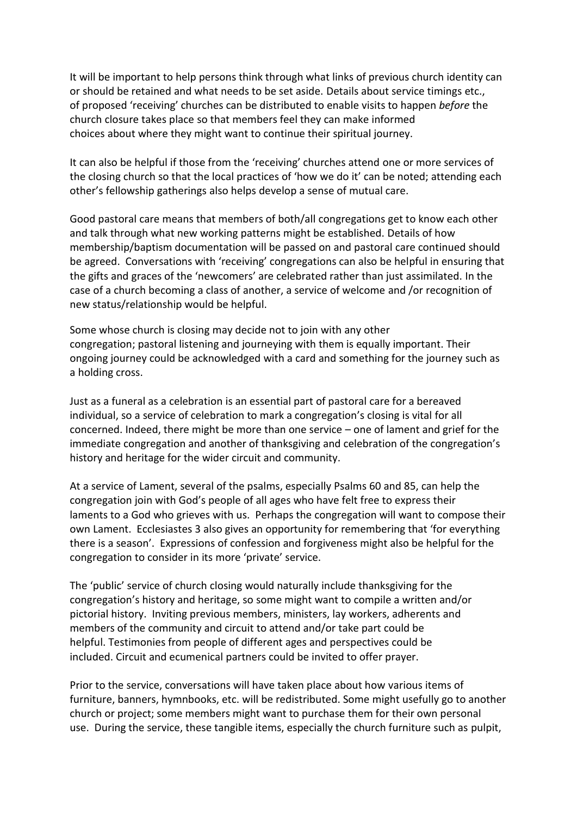It will be important to help persons think through what links of previous church identity can or should be retained and what needs to be set aside. Details about service timings etc., of proposed 'receiving' churches can be distributed to enable visits to happen *before* the church closure takes place so that members feel they can make informed choices about where they might want to continue their spiritual journey.

It can also be helpful if those from the 'receiving' churches attend one or more services of the closing church so that the local practices of 'how we do it' can be noted; attending each other's fellowship gatherings also helps develop a sense of mutual care.

Good pastoral care means that members of both/all congregations get to know each other and talk through what new working patterns might be established. Details of how membership/baptism documentation will be passed on and pastoral care continued should be agreed. Conversations with 'receiving' congregations can also be helpful in ensuring that the gifts and graces of the 'newcomers' are celebrated rather than just assimilated. In the case of a church becoming a class of another, a service of welcome and /or recognition of new status/relationship would be helpful.

Some whose church is closing may decide not to join with any other congregation; pastoral listening and journeying with them is equally important. Their ongoing journey could be acknowledged with a card and something for the journey such as a holding cross.

Just as a funeral as a celebration is an essential part of pastoral care for a bereaved individual, so a service of celebration to mark a congregation's closing is vital for all concerned. Indeed, there might be more than one service – one of lament and grief for the immediate congregation and another of thanksgiving and celebration of the congregation's history and heritage for the wider circuit and community.

At a service of Lament, several of the psalms, especially Psalms 60 and 85, can help the congregation join with God's people of all ages who have felt free to express their laments to a God who grieves with us. Perhaps the congregation will want to compose their own Lament. Ecclesiastes 3 also gives an opportunity for remembering that 'for everything there is a season'. Expressions of confession and forgiveness might also be helpful for the congregation to consider in its more 'private' service.

The 'public' service of church closing would naturally include thanksgiving for the congregation's history and heritage, so some might want to compile a written and/or pictorial history. Inviting previous members, ministers, lay workers, adherents and members of the community and circuit to attend and/or take part could be helpful. Testimonies from people of different ages and perspectives could be included. Circuit and ecumenical partners could be invited to offer prayer.

Prior to the service, conversations will have taken place about how various items of furniture, banners, hymnbooks, etc. will be redistributed. Some might usefully go to another church or project; some members might want to purchase them for their own personal use. During the service, these tangible items, especially the church furniture such as pulpit,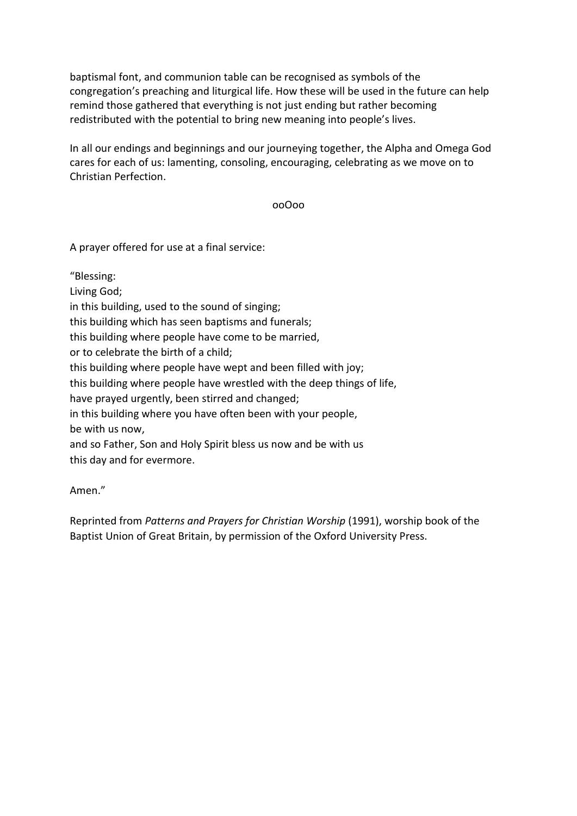baptismal font, and communion table can be recognised as symbols of the congregation's preaching and liturgical life. How these will be used in the future can help remind those gathered that everything is not just ending but rather becoming redistributed with the potential to bring new meaning into people's lives.

In all our endings and beginnings and our journeying together, the Alpha and Omega God cares for each of us: lamenting, consoling, encouraging, celebrating as we move on to Christian Perfection.

ooOoo

A prayer offered for use at a final service:

"Blessing:

Living God;

in this building, used to the sound of singing;

this building which has seen baptisms and funerals;

this building where people have come to be married,

or to celebrate the birth of a child;

this building where people have wept and been filled with joy;

this building where people have wrestled with the deep things of life,

have prayed urgently, been stirred and changed;

in this building where you have often been with your people, be with us now,

and so Father, Son and Holy Spirit bless us now and be with us this day and for evermore.

Amen."

Reprinted from *Patterns and Prayers for Christian Worship* (1991), worship book of the Baptist Union of Great Britain, by permission of the Oxford University Press.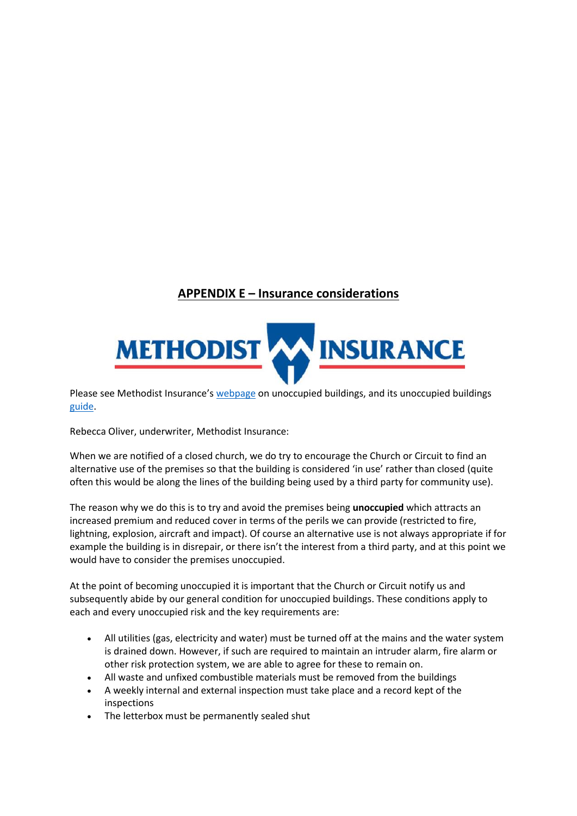# **APPENDIX E – Insurance considerations**



Please see Methodist Insurance's [webpage](https://www.methodistinsurance.co.uk/risk-management/unoccupied-buildings/) on unoccupied buildings, and its unoccupied buildings [guide.](https://www.methodistinsurance.co.uk/documents/unoccupied-buildings.pdf)

Rebecca Oliver, underwriter, Methodist Insurance:

When we are notified of a closed church, we do try to encourage the Church or Circuit to find an alternative use of the premises so that the building is considered 'in use' rather than closed (quite often this would be along the lines of the building being used by a third party for community use).

The reason why we do this is to try and avoid the premises being **unoccupied** which attracts an increased premium and reduced cover in terms of the perils we can provide (restricted to fire, lightning, explosion, aircraft and impact). Of course an alternative use is not always appropriate if for example the building is in disrepair, or there isn't the interest from a third party, and at this point we would have to consider the premises unoccupied.

At the point of becoming unoccupied it is important that the Church or Circuit notify us and subsequently abide by our general condition for unoccupied buildings. These conditions apply to each and every unoccupied risk and the key requirements are:

- All utilities (gas, electricity and water) must be turned off at the mains and the water system is drained down. However, if such are required to maintain an intruder alarm, fire alarm or other risk protection system, we are able to agree for these to remain on.
- All waste and unfixed combustible materials must be removed from the buildings
- A weekly internal and external inspection must take place and a record kept of the inspections
- The letterbox must be permanently sealed shut